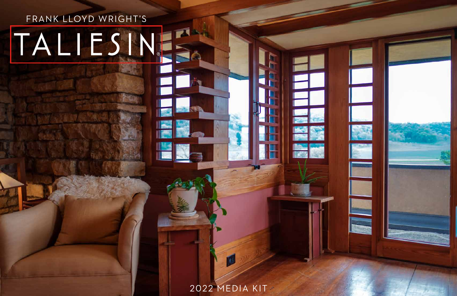# FRANK LLOYD WRIGHT'S TALIESINE

2022 MEDIA KIT

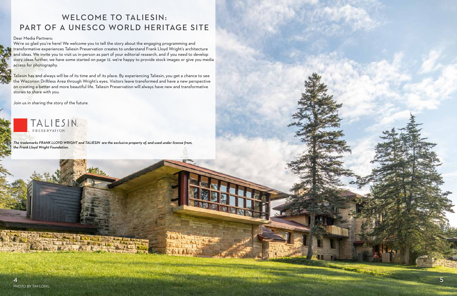## WELCOME TO TALIESIN: PART OF A UNESCO WORLD HERITAGE SITE

#### Dear Media Partners:

We're so glad you're here! We welcome you to tell the story about the engaging programming and transformative experiences Taliesin Preservation creates to understand Frank Lloyd Wright's architecture and ideas. We invite you to visit us in-person as part of your editorial research, and if you need to develop story ideas further, we have some started on page 12. we're happy to provide stock images or give you media access for photography.



Taliesin has and always will be of its time and of its place. By experiencing Taliesin, you get a chance to see the Wisconsin Driftless Area through Wright's eyes. Visitors leave transformed and have a new perspective on creating a better and more beautiful life. Taliesin Preservation will always have new and transformative stories to share with you.

Join us in sharing the story of the future.



*The trademarks FRANK LLOYD WRIGHT and TALIESIN are the exclusive property of, and used under license from, the Frank Lloyd Wright Foundation.*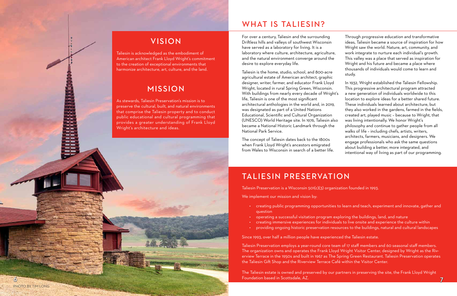# WHAT IS TALIESIN?

For over a century, Taliesin and the surrounding Driftless hills and valleys of southwest Wisconsin have served as a laboratory for living. It is a laboratory where culture, architecture, agriculture, and the natural environment converge around the desire to explore everyday life.

 Taliesin is the home, studio, school, and 800-acre agricultural estate of American architect, graphic designer, writer, farmer, and educator Frank Lloyd Wright, located in rural Spring Green, Wisconsin. With buildings from nearly every decade of Wright's life, Taliesin is one of the most significant architectural anthologies in the world and, in 2019, was designated as part of a United Nations Educational, Scientific and Cultural Organization (UNESCO) World Heritage site. In 1976, Taliesin also study. In 1932, Wright established the Taliesin Fellowship. This progressive architectural program attracted a new generation of individuals worldwide to this location to explore ideas for a better shared future. These individuals learned about architecture, but they also worked in the gardens, farmed in the fields, created art, played music – because to Wright, that was living intentionally. We honor Wright's philosophy and continue to gather people from all walks of life – including chefs, artists, writers,

Through progressive education and transformative ideas, Taliesin became a source of inspiration for how Wright saw the world. Nature, art, community, and work integrate to nurture each individual's growth. This valley was a place that served as inspiration for Wright and his future and became a place where thousands of individuals would come to learn and

The Taliesin estate is owned and preserved by our partners in preserving the site, the Frank Lloyd Wright Foundation based in Scottsdale, AZ.  $\delta$  and the contract of the contract of the contract of the contract of the contract of the contract of the contract of the contract of the contract of the contract of the contract of the contract of the contract of the

became a National Historic Landmark through the National Park Service. The concept of Taliesin dates back to the 1800s when Frank Lloyd Wright's ancestors emigrated from Wales to Wisconsin in search of a better life. architects, farmers, musicians, and designers. We engage professionals who ask the same questions about building a better, more integrated, and intentional way of living as part of our programming.

## TALIESIN PRESERVATION

Taliesin Preservation is a Wisconsin 501(c)(3) organization founded in 1993.

We implement our mission and vision by:

Since 1993, over half a million people have experienced the Taliesin estate.

Taliesin Preservation employs a year-round core team of 17 staff members and 60 seasonal staff members. The organization owns and operates the Frank Lloyd Wright Visitor Center, designed by Wright as the Riverview Terrace in the 1950s and built in 1967 as The Spring Green Restaurant. Taliesin Preservation operates the Taliesin Gift Shop and the Riverview Terrace Café within the Visitor Center.

• creating public programming opportunities to learn and teach, experiment and innovate, gather and

- question
- operating a successful visitation program exploring the buildings, land, and nature
- 
- 

• creating immersive experiences for individuals to live onsite and experience the culture within • providing ongoing historic preservation resources to the buildings, natural and cultural landscapes

## VISION

Taliesin is acknowledged as the embodiment of American architect Frank Lloyd Wright's commitment to the creation of exceptional environments that harmonize architecture, art, culture, and the land.

## MISSION

As stewards, Taliesin Preservation's mission is to preserve the cultural, built, and natural environments that comprise the Taliesin property and to conduct public educational and cultural programming that provides a greater understanding of Frank Lloyd Wright's architecture and ideas.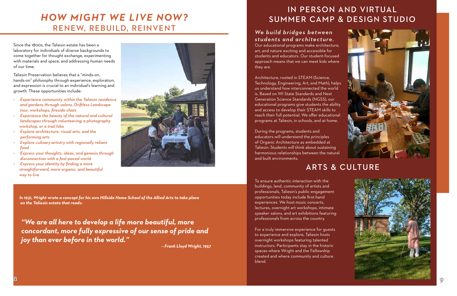# *HOW MIGHT WE LIVE NOW?* RENEW, REBUILD, REINVENT

Since the 1800s, the Taliesin estate has been a laboratory for individuals of diverse backgrounds to come together for thought exchange, experimenting with materials and space, and addressing human needs of our time.

Taliesin Preservation believes that a "minds-on, hands-on" philosophy through experience, exploration, and expression is crucial to an individual's learning and growth. These opportunities include:

- *• Experience community within the Taliesin residence and gardens through salons, Driftless Landscape tour, workshops, fireside chats*
- *• Experience the beauty of the natural and cultural landscapes through volunteering, a photography workshop, or a trail hike*
- *• Explore architecture, visual arts, and the performing arts*
- *• Explore culinary artistry with regionally reliant food*
- *• Express your thoughts, ideas, and genesis through disconnection with a fast-paced world*
- *• Express your identity by finding a more straightforward, more organic, and beautiful way to live*



*In 1931, Wright wrote a concept for his own Hillside Home School of the Allied Arts to take place on the Taliesin estate that reads:* 

*"We are all here to develop a life more beautiful, more concordant, more fully expressive of our sense of pride and joy than ever before in the world."* 

—*Frank Lloyd Wright, 1957*



# IN PERSON AND VIRTUAL SUMMER CAMP & DESIGN STUDIO

## *We build bridges between students and architecture.*

Our educational programs make architecture, art, and nature exciting and accessible for students and educators. Our student-focused approach means that we can meet kids where they are.

Architecture, rooted in STEAM (Science, Technology, Engineering, Art, and Math), helps us understand how interconnected the world is. Based on WI State Standards and Next Generation Science Standards (NGSS), our educational programs give students the ability and access to develop their STEAM skills to reach their full potential. We offer educational programs at Taliesin, in schools, and at home.

During the programs, students and educators will understand the principles of Organic Architecture as embedded at Taliesin. Students will think about sustaining harmonious relationships between the natural and built environments.

ARTS & CULTURE

To ensure authentic interaction with the buildings, land, community of artists and professionals, Taliesin's public engagement opportunities today include first-hand experiences. We host music concerts, lectures, overnight art workshops, intimate speaker salons, and art exhibitions featuring professionals from across the country.

For a truly immersive experience for guests to experience and explore, Taliesin hosts overnight workshops featuring talented instructors. Participants stay in the historic spaces where Wright and the Fellowship created and where community and culture blend.

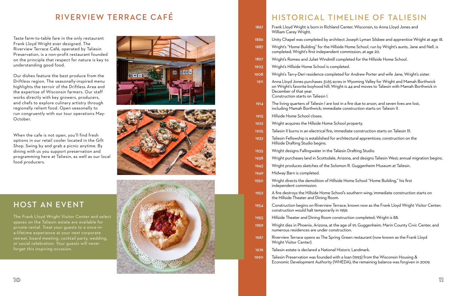## HISTORICAL TIMELINE OF TALIESIN

| 1867        | Frank Lloyd Wright is born in Richland<br>William Carey Wright.                                                                                  |
|-------------|--------------------------------------------------------------------------------------------------------------------------------------------------|
| 1886        | Unity Chapel was completed by archit                                                                                                             |
| 1887        | Wright's "Home Building" for the Hillsi<br>completed; Wright's first independent                                                                 |
| 1897        | Wright's Romeo and Juliet Windmill co                                                                                                            |
| 1903        | Wright's Hillside Home School is comp                                                                                                            |
| 1908        | Wright's Tan-y-Deri residence complet                                                                                                            |
| 1911        | Anna Lloyd Jones purchases 31.65 acre<br>on Wright's favorite boyhood hill; Wrig<br>December of that year.<br>Construction starts on Taliesin I. |
| 1914        | The living quarters of Taliesin I are lost<br>including Mamah Borthwick; immediat                                                                |
| 1915        | Hillside Home School closes.                                                                                                                     |
| 1922        | Wright acquires the Hillside Home Scl                                                                                                            |
| 1925        | Taliesin II burns in an electrical fire; imi                                                                                                     |
| 1932        | Taliesin Fellowship is established for ar<br>Hillside Drafting Studio begins.                                                                    |
| 1935        | Wright designs Fallingwater in the Tali                                                                                                          |
| 1938        | Wright purchases land in Scottsdale, A                                                                                                           |
| 1943        | Wright produces sketches of the Solo                                                                                                             |
| 1949        | Midway Barn is completed.                                                                                                                        |
| <b>1950</b> | Wright directs the demolition of Hillsio<br>independent commission.                                                                              |
| 1952        | A fire destroys the Hillside Home Scho<br>the Hillside Theater and Dining Room.                                                                  |
| 1954        | Construction begins on Riverview Terr<br>construction would halt temporarily in                                                                  |
| 1955        | Hillside Theater and Dining Room con                                                                                                             |
| 1959        | Wright dies in Phoenix, Arizona, at the<br>numerous residences are under consti                                                                  |
| 1967        | Riverview Terrace opens as The Spring<br>Wright Visitor Center).                                                                                 |
| 1976        | Taliesin estate is declared a National H                                                                                                         |
| 1990        | Taliesin Preservation was founded with<br>Economic Development Authority (WI                                                                     |
|             |                                                                                                                                                  |

nd Center, Wisconsin, to Anna Lloyd Jones and

itect Joseph Lyman Silsbee and apprentice Wright at age 18.

Iside Home School, run by Wright's aunts, Jane and Nell, is nt commission, at age 20.

completed for the Hillside Home School.

npleted.

leted for Andrew Porter and wife Jane, Wright's sister.

tres in Wyoming Valley for Wright and Mamah Borthwick  $\tau$ ight is 44 and moves to Taliesin with Mamah Borthwick in

 $\alpha$ st in a fire due to arson, and seven lives are lost, iate construction starts on Taliesin II.

chool property.

nmediate construction starts on Taliesin III.

architectural apprentices; construction on the

aliesin Drafting Studio.

Arizona, and designs Taliesin West; annual migration begins.

lomon R. Guggenheim Museum at Taliesin.

side Home School "Home Building," his first

hool's southern wing; immediate construction starts on

errace, known now as the Frank Lloyd Wright Visitor Center; in 1959.

Instruction completed; Wright is 88.

he age of 91; Guggenheim, Marin County Civic Center, and struction.

ng Green restaurant (now known as the Frank Lloyd

Historic Landmark.

ith a loan (1993) from the Wisconsin Housing  $\&$ WHEDA); the remaining balance was forgiven in 2009.

## RIVERVIEW TERRACE CAF É

Taste farm-to-table fare in the only restaurant Frank Lloyd Wright ever designed. The Riverview Terrace Café, operated by Taliesin Preservation, is a non-profit restaurant founded on the principle that respect for nature is key to understanding good food.

Our dishes feature the best produce from the Driftless region. The seasonally-inspired menu highlights the terroir of the Driftless Area and the expertise of Wisconsin farmers. Our staff works directly with key growers, producers, and chefs to explore culinary artistry through regionally reliant food. Open seasonally to run congruently with our tour operations May-October.

When the cafe is not open, you'll find fresh options in our retail cooler located in the Gift Shop. Swing by and grab a picnic anytime. By dining with us you support preservation and programming here at Taliesin, as well as our local food producers.





## HOST AN EVENT

The Frank Lloyd Wright Visitor Center and select spaces on the Taliesin estate are available for private rental. Treat your guests to a once-ina-lifetime experience at your next corporate retreat, board meeting, cocktail party, wedding, or social celebration. Your guests will never forget this inspiring occasion.

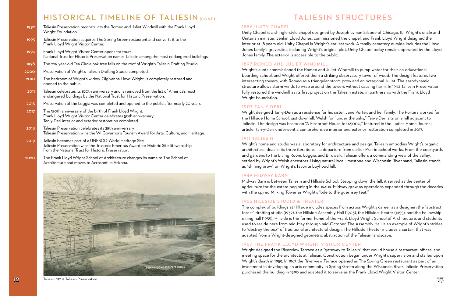# TALIESIN STRUCTURES

### 1886 UNITY CHAPEL

Unity Chapel is a shingle-style chapel designed by Joseph Lyman Silsbee of Chicago, IL. Wright's uncle and Unitarian minister, Jenkin Lloyd Jones, commissioned the chapel, and Frank Lloyd Wright designed the interior at 18 years old. Unity Chapel is Wright's earliest work. A family cemetery outside includes the Lloyd Jones family's gravesites, including Wright's original plot. Unity Chapel today remains operated by the Lloyd Jones family. The exterior is accessible to the public.

### 1897 ROMEO AND JULIET WINDMILL

Wright's aunts commissioned the Romeo and Juliet Windmill to pump water for their co-educational boarding school, and Wright offered them a striking observatory tower of wood. The design features two intersecting towers, with Romeo as a triangular storm prow and an octagonal Juliet. The aerodynamic structure allows storm winds to wrap around the towers without causing harm. In 1992 Taliesin Preservation fully restored the windmill as its first project on the Taliesin estate, in partnership with the Frank Lloyd Wright Foundation.

#### 1907 TAN-Y-DERI

Wright designed Tan-y-Deri as a residence for his sister, Jane Porter, and her family. The Porters worked for the Hillside Home School, just downhill. Welsh for "under the oaks," Tan-y-Deri sits on a hill adjacent to Taliesin. The design was based on "A Fireproof House for \$5000," featured in the Ladies Home Journal article. Tan-y-Deri underwent a comprehensive interior and exterior restoration completed in 2017.

#### 1911 TALIESIN

Wright's home and studio was a laboratory for architecture and design. Taliesin embodies Wright's organic architecture ideas in its three iterations — a departure from earlier Prairie School works. From the courtyards and gardens to the Living Room, Loggia, and Birdwalk, Taliesin offers a commanding view of the valley, settled by Wright's Welsh ancestors. Using natural local limestone and Wisconsin River sand, Taliesin stands as "shining brow" on Wright's favorite boyhood hill.

#### 1949 MIDWAY BARN

Midway Barn is between Taliesin and Hillside School. Stepping down the hill, it served as the center of agriculture for the estate beginning in the 1940s. Midway grew as operations expanded through the decades with the spired Milking Tower as Wright's "ode to the guernsey teat."

#### 1955 HILLSIDE STUDIO & THEATER

The complex of buildings at Hillside includes spaces from across Wright's career as a designer: the "abstract forest" drafting studio (1932), the Hillside Assembly Hall (1903), the HillsideTheater (1955), and the Fellowship dining hall (1955). Hillside is the former home of the Frank Lloyd Wright School of Architecture, and students used to reside here from mid-May through mid-October. The Assembly Hall is an example of Wright's strides to "destroy the box" of traditional architectural design. The Hillside Theater includes a curtain that was adapted from a Wright-designed geometric abstraction of the Taliesin landscape.

## 1967 THE FRANK LLOYD WRIGHT VISITOR CENTER

Wright designed the Riverview Terrace as a "gateway to Taliesin" that would house a restaurant, offices, and meeting space for the architects at Taliesin. Construction began under Wright's supervision and stalled upon Wright's death in 1959. In 1967 the Riverview Terrace opened as The Spring Green restaurant as part of an investment in developing an arts community in Spring Green along the Wisconsin River. Taliesin Preservation purchased the building in 1990 and adapted it to serve as the Frank Lloyd Wright Visitor Center.

## HISTORICAL TIMELINE OF TALIESIN (CONT)

| 1992        | Taliesin Preservation reconstructs the Romeo and Juliet Windmill with the Frank Lloyd<br>Wright Foundation.                                                                            |
|-------------|----------------------------------------------------------------------------------------------------------------------------------------------------------------------------------------|
| 1993        | Taliesin Preservation acquires The Spring Green restaurant and converts it to the<br>Frank Lloyd Wright Visitor Center.                                                                |
| 1994        | Frank Lloyd Wright Visitor Center opens for tours.<br>National Trust for Historic Preservation names Taliesin among the most endangered buildings.                                     |
| 1998        | The 229-year-old Tea Circle oak tree falls on the roof of Wright's Taliesin Drafting Studio.                                                                                           |
| 2000        | Preservation of Wright's Taliesin Drafting Studio completed.                                                                                                                           |
| <b>2010</b> | The bedroom of Wright's widow, Olgivanna Lloyd Wright, is completely restored and<br>opened to the public.                                                                             |
| 2011        | Taliesin celebrates its 100th anniversary and is removed from the list of America's most<br>endangered buildings by the National Trust for Historic Preservation.                      |
| 2015        | Preservation of the Loggia was completed and opened to the public after nearly 20 years.                                                                                               |
| 2017        | The 150th anniversary of the birth of Frank Lloyd Wright.<br>Frank Lloyd Wright Visitor Center celebrates 50th anniversary.<br>Tan-y-Deri interior and exterior restoration completed. |
| 2018        | Taliesin Preservation celebrates its 25th anniversary.<br>Taliesin Preservation wins the WI Governor's Tourism Award for Arts, Culture, and Heritage.                                  |

- 2019 Taliesin becomes part of a UNESCO World Heritage Site. Taliesin Preservation wins the Trustees Emeritus Award for Historic Site Stewardship from the National Trust for Historic Preservation.
- 2020 The Frank Lloyd Wright School of Architecture changes its name to The School of Architecture and moves to Acrosonti in Arizona.